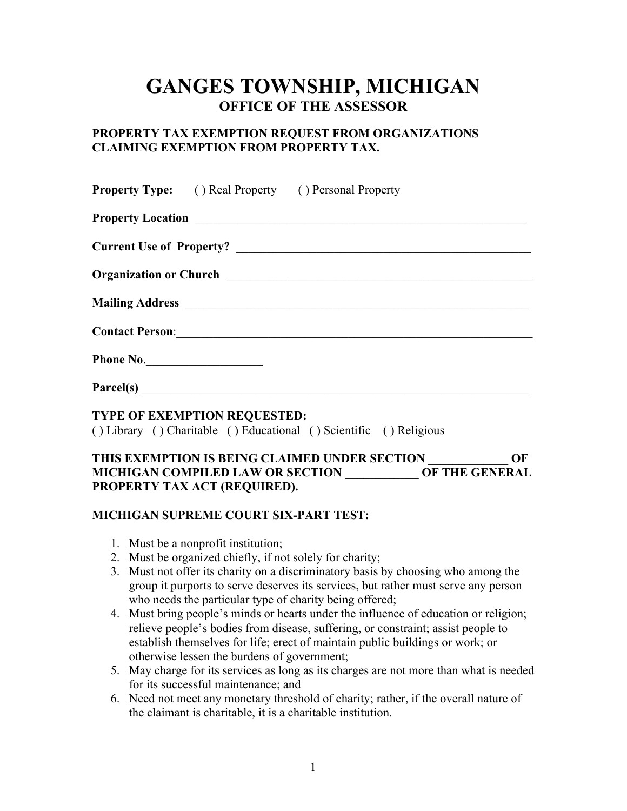# **GANGES TOWNSHIP, MICHIGAN OFFICE OF THE ASSESSOR**

# **PROPERTY TAX EXEMPTION REQUEST FROM ORGANIZATIONS CLAIMING EXEMPTION FROM PROPERTY TAX.**

|           |                                     | <b>Property Type:</b> () Real Property () Personal Property        |
|-----------|-------------------------------------|--------------------------------------------------------------------|
|           |                                     |                                                                    |
|           |                                     |                                                                    |
|           |                                     |                                                                    |
|           |                                     |                                                                    |
|           |                                     | <b>Contact Person:</b>                                             |
| Phone No. |                                     |                                                                    |
|           |                                     |                                                                    |
|           | <b>TYPE OF EXEMPTION REQUESTED:</b> | () Library () Charitable () Educational () Scientific () Religious |

#### **THIS EXEMPTION IS BEING CLAIMED UNDER SECTION \_\_\_\_\_\_\_\_\_\_\_\_\_ OF MICHIGAN COMPILED LAW OR SECTION OF THE GENERAL PROPERTY TAX ACT (REQUIRED).**

## **MICHIGAN SUPREME COURT SIX-PART TEST:**

- 1. Must be a nonprofit institution;
- 2. Must be organized chiefly, if not solely for charity;
- 3. Must not offer its charity on a discriminatory basis by choosing who among the group it purports to serve deserves its services, but rather must serve any person who needs the particular type of charity being offered;
- 4. Must bring people's minds or hearts under the influence of education or religion; relieve people's bodies from disease, suffering, or constraint; assist people to establish themselves for life; erect of maintain public buildings or work; or otherwise lessen the burdens of government;
- 5. May charge for its services as long as its charges are not more than what is needed for its successful maintenance; and
- 6. Need not meet any monetary threshold of charity; rather, if the overall nature of the claimant is charitable, it is a charitable institution.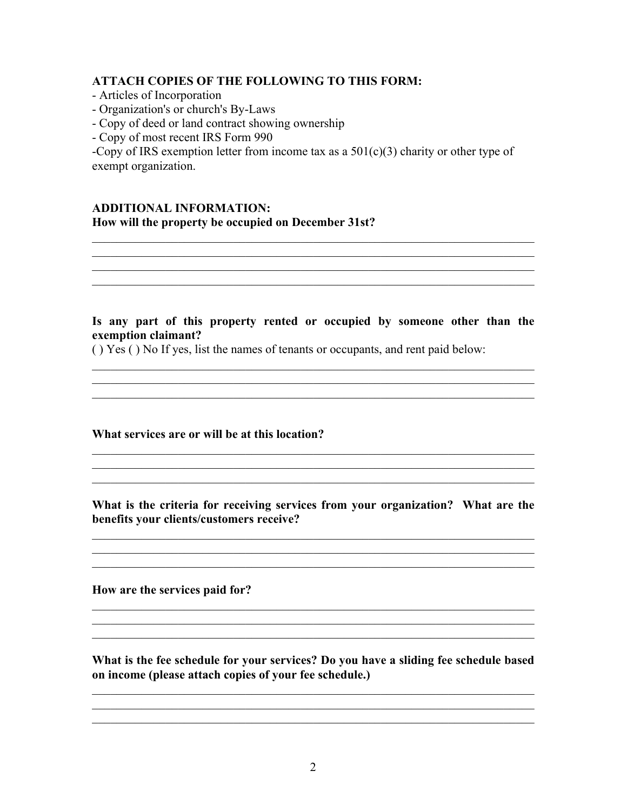#### **ATTACH COPIES OF THE FOLLOWING TO THIS FORM:**

- Articles of Incorporation
- Organization's or church's By-Laws
- Copy of deed or land contract showing ownership
- Copy of most recent IRS Form 990

-Copy of IRS exemption letter from income tax as a  $501(c)(3)$  charity or other type of exempt organization.

# **ADDITIONAL INFORMATION: How will the property be occupied on December 31st?**

#### **Is any part of this property rented or occupied by someone other than the exemption claimant?**

\_\_\_\_\_\_\_\_\_\_\_\_\_\_\_\_\_\_\_\_\_\_\_\_\_\_\_\_\_\_\_\_\_\_\_\_\_\_\_\_\_\_\_\_\_\_\_\_\_\_\_\_\_\_\_\_\_\_\_\_\_\_\_\_\_\_\_\_\_\_\_\_

( ) Yes ( ) No If yes, list the names of tenants or occupants, and rent paid below:

#### **What services are or will be at this location?**

**What is the criteria for receiving services from your organization? What are the benefits your clients/customers receive?**

 $\_$  ,  $\_$  ,  $\_$  ,  $\_$  ,  $\_$  ,  $\_$  ,  $\_$  ,  $\_$  ,  $\_$  ,  $\_$  ,  $\_$  ,  $\_$  ,  $\_$  ,  $\_$  ,  $\_$  ,  $\_$  ,  $\_$  ,  $\_$  ,  $\_$  ,  $\_$  ,  $\_$  ,  $\_$  ,  $\_$  ,  $\_$  ,  $\_$  ,  $\_$  ,  $\_$  ,  $\_$  ,  $\_$  ,  $\_$  ,  $\_$  ,  $\_$  ,  $\_$  ,  $\_$  ,  $\_$  ,  $\_$  ,  $\_$  ,

 $\mathcal{L}_\mathcal{L} = \{ \mathcal{L}_\mathcal{L} = \{ \mathcal{L}_\mathcal{L} = \{ \mathcal{L}_\mathcal{L} = \{ \mathcal{L}_\mathcal{L} = \{ \mathcal{L}_\mathcal{L} = \{ \mathcal{L}_\mathcal{L} = \{ \mathcal{L}_\mathcal{L} = \{ \mathcal{L}_\mathcal{L} = \{ \mathcal{L}_\mathcal{L} = \{ \mathcal{L}_\mathcal{L} = \{ \mathcal{L}_\mathcal{L} = \{ \mathcal{L}_\mathcal{L} = \{ \mathcal{L}_\mathcal{L} = \{ \mathcal{L}_\mathcal{$ 

\_\_\_\_\_\_\_\_\_\_\_\_\_\_\_\_\_\_\_\_\_\_\_\_\_\_\_\_\_\_\_\_\_\_\_\_\_\_\_\_\_\_\_\_\_\_\_\_\_\_\_\_\_\_\_\_\_\_\_\_\_\_\_\_\_\_\_\_\_\_\_\_

**How are the services paid for?**

**What is the fee schedule for your services? Do you have a sliding fee schedule based on income (please attach copies of your fee schedule.)**